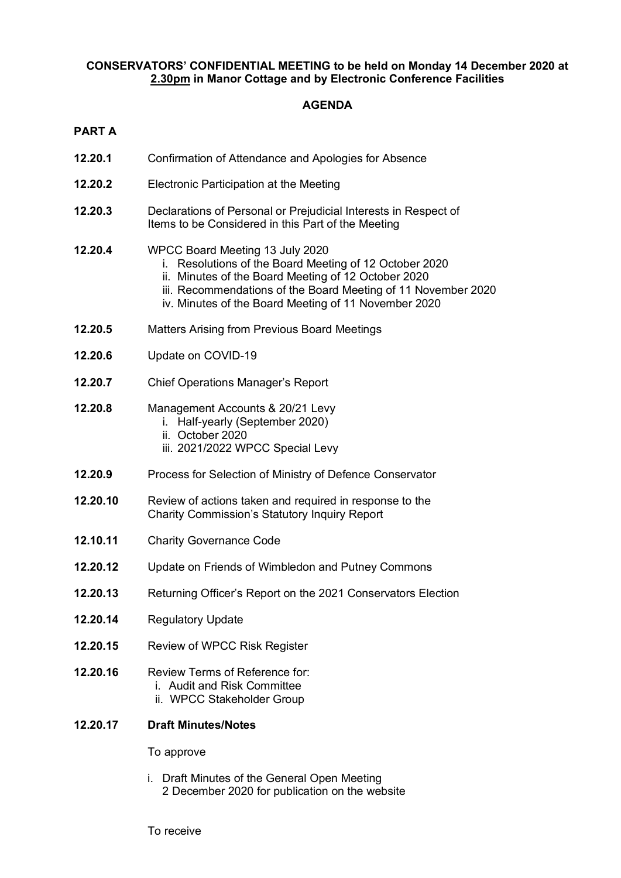## **CONSERVATORS' CONFIDENTIAL MEETING to be held on Monday 14 December 2020 at 2.30pm in Manor Cottage and by Electronic Conference Facilities**

## **AGENDA**

| π<br>v.<br>- |  |
|--------------|--|
|              |  |

| 12.20.1  | Confirmation of Attendance and Apologies for Absence                                                                                                                                                                                                                      |  |
|----------|---------------------------------------------------------------------------------------------------------------------------------------------------------------------------------------------------------------------------------------------------------------------------|--|
| 12.20.2  | Electronic Participation at the Meeting                                                                                                                                                                                                                                   |  |
| 12.20.3  | Declarations of Personal or Prejudicial Interests in Respect of<br>Items to be Considered in this Part of the Meeting                                                                                                                                                     |  |
| 12.20.4  | WPCC Board Meeting 13 July 2020<br>i. Resolutions of the Board Meeting of 12 October 2020<br>ii. Minutes of the Board Meeting of 12 October 2020<br>iii. Recommendations of the Board Meeting of 11 November 2020<br>iv. Minutes of the Board Meeting of 11 November 2020 |  |
| 12.20.5  | <b>Matters Arising from Previous Board Meetings</b>                                                                                                                                                                                                                       |  |
| 12.20.6  | Update on COVID-19                                                                                                                                                                                                                                                        |  |
| 12.20.7  | <b>Chief Operations Manager's Report</b>                                                                                                                                                                                                                                  |  |
| 12.20.8  | Management Accounts & 20/21 Levy<br>i. Half-yearly (September 2020)<br>ii. October 2020<br>iii. 2021/2022 WPCC Special Levy                                                                                                                                               |  |
| 12.20.9  | Process for Selection of Ministry of Defence Conservator                                                                                                                                                                                                                  |  |
| 12.20.10 | Review of actions taken and required in response to the<br><b>Charity Commission's Statutory Inquiry Report</b>                                                                                                                                                           |  |
| 12.10.11 | <b>Charity Governance Code</b>                                                                                                                                                                                                                                            |  |
| 12.20.12 | Update on Friends of Wimbledon and Putney Commons                                                                                                                                                                                                                         |  |
| 12.20.13 | Returning Officer's Report on the 2021 Conservators Election                                                                                                                                                                                                              |  |
| 12.20.14 | <b>Regulatory Update</b>                                                                                                                                                                                                                                                  |  |
| 12.20.15 | Review of WPCC Risk Register                                                                                                                                                                                                                                              |  |
| 12.20.16 | Review Terms of Reference for:<br>i. Audit and Risk Committee<br>ii. WPCC Stakeholder Group                                                                                                                                                                               |  |
| 12.20.17 | <b>Draft Minutes/Notes</b>                                                                                                                                                                                                                                                |  |
|          | To approve                                                                                                                                                                                                                                                                |  |
|          | i. Draft Minutes of the General Open Meeting<br>2 December 2020 for publication on the website                                                                                                                                                                            |  |